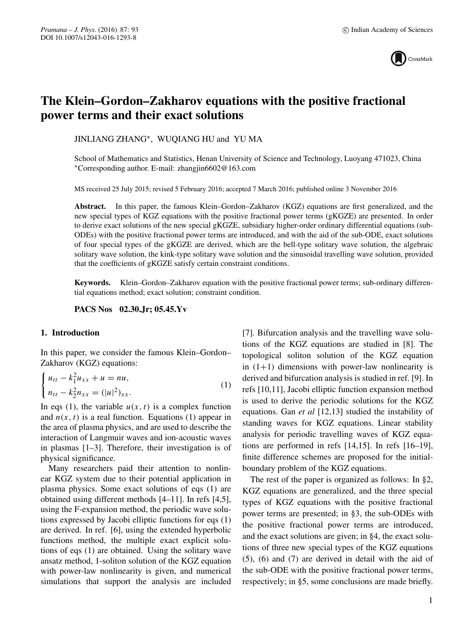

# **The Klein–Gordon–Zakharov equations with the positive fractional power terms and their exact solutions**

JINLIANG ZHANG∗, WUQIANG HU and YU MA

School of Mathematics and Statistics, Henan University of Science and Technology, Luoyang 471023, China ∗Corresponding author. E-mail: zhangjin6602@163.com

MS received 25 July 2015; revised 5 February 2016; accepted 7 March 2016; published online 3 November 2016

**Abstract.** In this paper, the famous Klein–Gordon–Zakharov (KGZ) equations are first generalized, and the new special types of KGZ equations with the positive fractional power terms (gKGZE) are presented. In order to derive exact solutions of the new special gKGZE, subsidiary higher-order ordinary differential equations (sub-ODEs) with the positive fractional power terms are introduced, and with the aid of the sub-ODE, exact solutions of four special types of the gKGZE are derived, which are the bell-type solitary wave solution, the algebraic solitary wave solution, the kink-type solitary wave solution and the sinusoidal travelling wave solution, provided that the coefficients of gKGZE satisfy certain constraint conditions.

**Keywords.** Klein–Gordon–Zakharov equation with the positive fractional power terms; sub-ordinary differential equations method; exact solution; constraint condition.

**PACS Nos 02.30.Jr; 05.45.Yv**

#### **1. Introduction**

In this paper, we consider the famous Klein–Gordon– Zakharov (KGZ) equations:

$$
\begin{cases} u_{tt} - k_1^2 u_{xx} + u = nu, \\ n_{tt} - k_2^2 n_{xx} = (|u|^2)_{xx}. \end{cases}
$$
 (1)

In eqs (1), the variable  $u(x, t)$  is a complex function<br>and  $u(x, t)$  is a real function. Equations (1) appear in and  $n(x, t)$  is a real function. Equations (1) appear in the area of plasma physics, and are used to describe the interaction of Langmuir waves and ion-acoustic waves in plasmas [1–3]. Therefore, their investigation is of physical significance.

Many researchers paid their attention to nonlinear KGZ system due to their potential application in plasma physics. Some exact solutions of eqs (1) are obtained using different methods [4–11]. In refs [4,5], using the F-expansion method, the periodic wave solutions expressed by Jacobi elliptic functions for eqs (1) are derived. In ref. [6], using the extended hyperbolic functions method, the multiple exact explicit solutions of eqs (1) are obtained. Using the solitary wave ansatz method, 1-soliton solution of the KGZ equation with power-law nonlinearity is given, and numerical simulations that support the analysis are included [7]. Bifurcation analysis and the travelling wave solutions of the KGZ equations are studied in [8]. The topological soliton solution of the KGZ equation in  $(1+1)$  dimensions with power-law nonlinearity is derived and bifurcation analysis is studied in ref. [9]. In refs [10,11], Jacobi elliptic function expansion method is used to derive the periodic solutions for the KGZ equations. Gan *et al* [12,13] studied the instability of standing waves for KGZ equations. Linear stability analysis for periodic travelling waves of KGZ equations are performed in refs [14,15]. In refs [16–19], finite difference schemes are proposed for the initialboundary problem of the KGZ equations.

The rest of the paper is organized as follows: In §2, KGZ equations are generalized, and the three special types of KGZ equations with the positive fractional power terms are presented; in §3, the sub-ODEs with the positive fractional power terms are introduced, and the exact solutions are given; in §4, the exact solutions of three new special types of the KGZ equations (5), (6) and (7) are derived in detail with the aid of the sub-ODE with the positive fractional power terms, respectively; in §5, some conclusions are made briefly.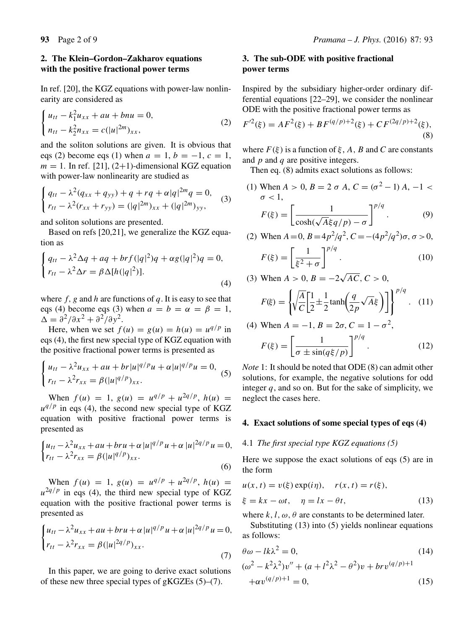## **2. The Klein–Gordon–Zakharov equations with the positive fractional power terms**

In ref. [20], the KGZ equations with power-law nonlinearity are considered as

$$
\begin{cases} u_{tt} - k_1^2 u_{xx} + au + bnu = 0, \\ n_{tt} - k_2^2 n_{xx} = c(|u|^{2m})_{xx}, \end{cases}
$$
 (2)

and the soliton solutions are given. It is obvious that eqs (2) become eqs (1) when  $a = 1$ ,  $b = -1$ ,  $c = 1$ ,  $m = 1$ . In ref. [21], (2+1)-dimensional KGZ equation with power-law nonlinearity are studied as

$$
\begin{cases} q_{tt} - \lambda^2 (q_{xx} + q_{yy}) + q + rq + \alpha |q|^{2m} q = 0, \\ r_{tt} - \lambda^2 (r_{xx} + r_{yy}) = (|q|^{2m})_{xx} + (|q|^{2m})_{yy}, \end{cases}
$$
(3)

and soliton solutions are presented.

Based on refs [20,21], we generalize the KGZ equation as

$$
\begin{cases}\nq_{tt} - \lambda^2 \Delta q + aq + brf(|q|^2)q + \alpha g(|q|^2)q = 0, \\
r_{tt} - \lambda^2 \Delta r = \beta \Delta[h(|q|^2)].\n\end{cases}
$$
\n(4)

where  $f$ , g and h are functions of q. It is easy to see that eqs (4) become eqs (3) when  $a = b = \alpha = \beta = 1$ ,  $\Delta = \frac{\partial^2}{\partial x^2} + \frac{\partial^2}{\partial y^2}.$ 

Here, when we set  $f(u) = g(u) = h(u) = u^{q/p}$  in eqs (4), the first new special type of KGZ equation with the positive fractional power terms is presented as

$$
\begin{cases} u_{tt} - \lambda^2 u_{xx} + au + br |u|^{q/p} u + \alpha |u|^{q/p} u = 0, \\ r_{tt} - \lambda^2 r_{xx} = \beta (|u|^{q/p})_{xx}. \end{cases} (5)
$$

When  $f(u) = 1$ ,  $g(u) = u^{q/p} + u^{2q/p}$ ,  $h(u) =$  $u^{q/p}$  in eqs (4), the second new special type of KGZ equation with positive fractional power terms is presented as

$$
\begin{cases} u_{tt} - \lambda^2 u_{xx} + au + bru + \alpha |u|^{q/p} u + \alpha |u|^{2q/p} u = 0, \\ r_{tt} - \lambda^2 r_{xx} = \beta (|u|^{q/p})_{xx} . \end{cases}
$$
(6)

When  $f(u) = 1$ ,  $g(u) = u^{q/p} + u^{2q/p}$ ,  $h(u) =$  $u^{2q/p}$  in eqs (4), the third new special type of KGZ equation with the positive fractional power terms is presented as

$$
\begin{cases} u_{tt} - \lambda^2 u_{xx} + au + bru + \alpha |u|^{q/p} u + \alpha |u|^{2q/p} u = 0, \\ r_{tt} - \lambda^2 r_{xx} = \beta (|u|^{2q/p})_{xx}. \end{cases} \tag{7}
$$

In this paper, we are going to derive exact solutions of these new three special types of gKGZEs (5)–(7).

# **3. The sub-ODE with positive fractional power terms**

Inspired by the subsidiary higher-order ordinary differential equations [22–29], we consider the nonlinear ODE with the positive fractional power terms as

$$
F^{\prime 2}(\xi) = AF^2(\xi) + BF^{(q/p)+2}(\xi) + CF^{(2q/p)+2}(\xi),
$$
\n(8)

where  $F(\xi)$  is a function of  $\xi$ , A, B and C are constants and  $p$  and  $q$  are positive integers.

Then eq.  $(8)$  admits exact solutions as follows:

(1) When  $A > 0$ ,  $B = 2 \sigma A$ ,  $C = (\sigma^2 - 1) A$ ,  $-1 < \sigma < 1$  $\sigma < 1$ ,  $F(\xi) =$  $\begin{bmatrix} 1 \end{bmatrix}$  $\cosh(\sqrt{\frac{1}{2}})$  $A\xi q/p$ ) – σ  $\mathcal{I}^{p/q}$  $(9)$ 

(2) When 
$$
A = 0
$$
,  $B = 4p^2/q^2$ ,  $C = -(4p^2/q^2)\sigma$ ,  $\sigma > 0$ ,

$$
F(\xi) = \left[\frac{1}{\xi^2 + \sigma}\right]^{p/q}.\tag{10}
$$

(3) When 
$$
A > 0
$$
,  $B = -2\sqrt{AC}$ ,  $C > 0$ ,

$$
F(\xi) = \left\{ \sqrt{\frac{A}{C}} \left[ \frac{1}{2} \pm \frac{1}{2} \tanh\left(\frac{q}{2p}\sqrt{A}\xi\right) \right] \right\}^{p/q}.
$$
 (11)

(4) When 
$$
A = -1
$$
,  $B = 2\sigma$ ,  $C = 1 - \sigma^2$ ,

$$
F(\xi) = \left[\frac{1}{\sigma \pm \sin(q\xi/p)}\right]^{p/q}.\tag{12}
$$

*Note* 1: It should be noted that ODE (8) can admit other solutions, for example, the negative solutions for odd integer  $q$ , and so on. But for the sake of simplicity, we neglect the cases here.

## **4. Exact solutions of some special types of eqs (4)**

## 4.1 *The first special type KGZ equations (5)*

Here we suppose the exact solutions of eqs (5) are in the form

$$
u(x, t) = v(\xi) \exp(i\eta), \quad r(x, t) = r(\xi),
$$
  
\n
$$
\xi = kx - \omega t, \quad \eta = lx - \theta t,
$$
\n(13)

where k, l,  $\omega$ ,  $\theta$  are constants to be determined later.

Substituting (13) into (5) yields nonlinear equations as follows:

$$
\theta \omega - lk\lambda^2 = 0,
$$
  
\n
$$
(\omega^2 - k^2\lambda^2)v'' + (a + l^2\lambda^2 - \theta^2)v + brv^{(q/p)+1}
$$
\n(14)

$$
+\alpha v^{(q/p)+1} = 0,\t(15)
$$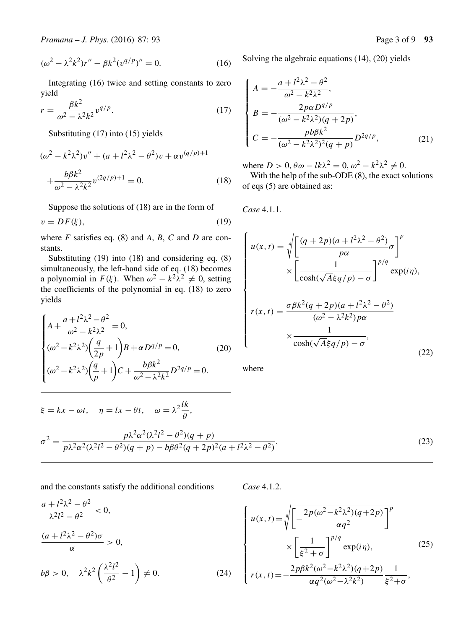$$
(\omega^2 - \lambda^2 k^2) r'' - \beta k^2 (v^{q/p})'' = 0.
$$
 (16)

Integrating (16) twice and setting constants to zero yield

$$
r = \frac{\beta k^2}{\omega^2 - \lambda^2 k^2} v^{q/p}.
$$
 (17)

Substituting (17) into (15) yields

$$
(\omega^2 - k^2 \lambda^2) v'' + (a + l^2 \lambda^2 - \theta^2) v + \alpha v^{(q/p)+1}
$$

$$
+ \frac{b \beta k^2}{\omega^2 - \lambda^2 k^2} v^{(2q/p)+1} = 0.
$$
 (18)

Suppose the solutions of (18) are in the form of

$$
v = DF(\xi),\tag{19}
$$

where *F* satisfies eq. (8) and *A*, *B*, *C* and *D* are constants.

Substituting (19) into (18) and considering eq. (8) simultaneously, the left-hand side of eq. (18) becomes a polynomial in  $F(\xi)$ . When  $\omega^2 - k^2 \lambda^2 \neq 0$ , setting the coefficients of the polynomial in eq. (18) to zero the coefficients of the polynomial in eq. (18) to zero yields

$$
\begin{cases} A + \frac{a + l^2 \lambda^2 - \theta^2}{\omega^2 - k^2 \lambda^2} = 0, \\ (\omega^2 - k^2 \lambda^2) \left( \frac{q}{2p} + 1 \right) B + \alpha D^{q/p} = 0, \\ (\omega^2 - k^2 \lambda^2) \left( \frac{q}{p} + 1 \right) C + \frac{b \beta k^2}{\omega^2 - \lambda^2 k^2} D^{2q/p} = 0. \end{cases} (20)
$$

Solving the algebraic equations (14), (20) yields

$$
\begin{cases}\nA = -\frac{a + l^2 \lambda^2 - \theta^2}{\omega^2 - k^2 \lambda^2}, \\
B = -\frac{2p\alpha D^{q/p}}{(\omega^2 - k^2 \lambda^2)(q + 2p)}, \\
C = -\frac{pb\beta k^2}{(\omega^2 - k^2 \lambda^2)^2 (q + p)} D^{2q/p},\n\end{cases}
$$
\n(21)

where  $D > 0$ ,  $\theta \omega - lk\lambda^2 = 0$ ,  $\omega^2 - k^2\lambda^2 \neq 0$ .

With the help of the sub-ODE (8), the exact solutions of eqs (5) are obtained as:

*Case* 4.1.1*.*

$$
\begin{cases}\nu(x,t) = \sqrt[q]{\left[\frac{(q+2p)(a+l^2\lambda^2-\theta^2)}{p\alpha}\sigma\right]^p} \\
\times \left[\frac{1}{\cosh(\sqrt{A}\xi q/p) - \sigma}\right]^{p/q} \exp(i\eta), \\
r(x,t) = \frac{\sigma\beta k^2(q+2p)(a+l^2\lambda^2-\theta^2)}{(\omega^2-\lambda^2k^2)p\alpha} \\
\times \frac{1}{\cosh(\sqrt{A}\xi q/p) - \sigma},\n\end{cases} (22)
$$

where

$$
\xi = kx - \omega t, \quad \eta = lx - \theta t, \quad \omega = \lambda^2 \frac{lk}{\theta},
$$

$$
\sigma^2 = \frac{p\lambda^2 \alpha^2 (\lambda^2 l^2 - \theta^2)(q+p)}{p\lambda^2 \alpha^2 (\lambda^2 l^2 - \theta^2)(q+p) - b\beta \theta^2 (q+2p)^2 (a+l^2\lambda^2 - \theta^2)},
$$
(23)

and the constants satisfy the additional conditions

*Case* 4.1.2*.*

 $\sqrt{ }$ 

 $\begin{array}{c}\n\end{array}$ 

⎪⎪⎪⎪⎪⎪⎪⎪⎪⎩

$$
\frac{a + l^2 \lambda^2 - \theta^2}{\lambda^2 l^2 - \theta^2} < 0,
$$
\n
$$
\frac{(a + l^2 \lambda^2 - \theta^2)\sigma}{\alpha} > 0,
$$
\n
$$
b\beta > 0, \quad \lambda^2 k^2 \left(\frac{\lambda^2 l^2}{\theta^2} - 1\right) \neq 0.
$$
\n
$$
(24)
$$

 $u(x, t) = \sqrt{x}$  $\sqrt[q]{\left[-\frac{2p(\omega^2-k^2\lambda^2)(q+2p)}{\omega a^2}\right]}$  $\alpha q^2$  $\mathcal{I}^{\prime}$ ×  $\begin{bmatrix} 1 \end{bmatrix}$  $\xi^2 + \sigma$  $\int_{-\infty}^{\rho/q} \exp(i\eta),$  $r(x, t) = -\frac{2p\beta k^2(\omega^2 - k^2\lambda^2)(q+2p)}{\alpha q^2(\omega^2 - \lambda^2 k^2)}$ 1  $\xi^2+\sigma$ <sup>,</sup> (25)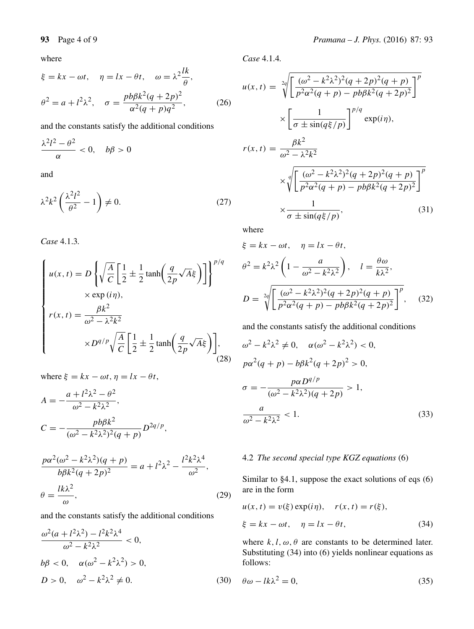where

$$
\xi = kx - \omega t, \quad \eta = lx - \theta t, \quad \omega = \lambda^2 \frac{lk}{\theta},
$$

$$
\theta^2 = a + l^2 \lambda^2, \quad \sigma = \frac{pb\beta k^2 (q + 2p)^2}{\alpha^2 (q + p)q^2},\tag{26}
$$

and the constants satisfy the additional conditions

$$
\frac{\lambda^2 l^2 - \theta^2}{\alpha} < 0, \quad b\beta > 0
$$

and

$$
\lambda^2 k^2 \left( \frac{\lambda^2 l^2}{\theta^2} - 1 \right) \neq 0. \tag{27}
$$

*Case* 4.1.3*.*

$$
\begin{cases}\nu(x,t) = D\left\{\sqrt{\frac{A}{C}} \left[\frac{1}{2} \pm \frac{1}{2} \tanh\left(\frac{q}{2p}\sqrt{A}\xi\right)\right]\right\}^{p/q} \\
\times \exp(i\eta), \\
r(x,t) = \frac{\beta k^2}{\omega^2 - \lambda^2 k^2} \\
\times D^{q/p} \sqrt{\frac{A}{C}} \left[\frac{1}{2} \pm \frac{1}{2} \tanh\left(\frac{q}{2p}\sqrt{A}\xi\right)\right],\n\end{cases}
$$
\n(28)

where  $\xi = kx - \omega t$ ,  $\eta = lx - \theta t$ ,

$$
A = -\frac{a + l^2 \lambda^2 - \theta^2}{\omega^2 - k^2 \lambda^2},
$$
  
\n
$$
C = -\frac{pb\beta k^2}{(\omega^2 - k^2 \lambda^2)^2 (q + p)} D^{2q/p},
$$
  
\n
$$
\frac{p\alpha^2(\omega^2 - k^2 \lambda^2)(q + p)}{k\alpha^2(\omega^2 - k^2 \lambda^2)(q + p)} = a + l^2 \lambda^2 - \frac{l^2 k^2 \lambda^4}{\omega^2},
$$

$$
\frac{p\alpha(\omega - \kappa \lambda)(q + p)}{b\beta k^2 (q + 2p)^2} = a + l^2 \lambda^2 - \frac{l \kappa \lambda}{\omega^2},
$$
  

$$
\theta = \frac{l k \lambda^2}{\omega},
$$
 (29)

and the constants satisfy the additional conditions

$$
\frac{\omega^2(a + l^2\lambda^2) - l^2k^2\lambda^4}{\omega^2 - k^2\lambda^2} < 0,
$$
\n
$$
b\beta < 0, \quad \alpha(\omega^2 - k^2\lambda^2) > 0,
$$
\n
$$
D > 0, \quad \omega^2 - k^2\lambda^2 \neq 0.
$$
\n(30)

*Case* 4.1.4*.*

$$
u(x,t) = \sqrt[2q]{\left[\frac{(\omega^2 - k^2\lambda^2)^2(q + 2p)^2(q + p)}{p^2\alpha^2(q + p) - pb\beta k^2(q + 2p)^2}\right]^p}
$$

$$
\times \left[\frac{1}{\sigma \pm \sin(q\xi/p)}\right]^{p/q} \exp(i\eta),
$$

$$
r(x,t) = \frac{\beta k^2}{\omega^2 - \lambda^2 k^2}
$$

$$
\times \sqrt[q]{\left[\frac{(\omega^2 - k^2\lambda^2)^2(q + 2p)^2(q + p)}{p^2\alpha^2(q + p) - pb\beta k^2(q + 2p)^2}\right]^p}
$$

$$
\times \frac{1}{\sigma \pm \sin(q\xi/p)},
$$
(31)

where

$$
\xi = kx - \omega t, \quad \eta = lx - \theta t,
$$
  
\n
$$
\theta^2 = k^2 \lambda^2 \left( 1 - \frac{a}{\omega^2 - k^2 \lambda^2} \right), \quad l = \frac{\theta \omega}{k\lambda^2},
$$
  
\n
$$
D = \sqrt[2q]{\left[ \frac{(\omega^2 - k^2 \lambda^2)^2 (q + 2p)^2 (q + p)}{p^2 \alpha^2 (q + p) - pb\beta k^2 (q + 2p)^2} \right]^p}, \quad (32)
$$

and the constants satisfy the additional conditions

$$
\omega^{2} - k^{2} \lambda^{2} \neq 0, \quad \alpha(\omega^{2} - k^{2} \lambda^{2}) < 0,
$$
  
\n
$$
p\alpha^{2}(q + p) - b\beta k^{2}(q + 2p)^{2} > 0,
$$
  
\n
$$
\sigma = -\frac{p\alpha D^{q/p}}{(\omega^{2} - k^{2} \lambda^{2})(q + 2p)} > 1,
$$
  
\n
$$
\frac{a}{\omega^{2} - k^{2} \lambda^{2}} < 1.
$$
\n(33)

## 4.2 *The second special type KGZ equations* (6)

Similar to §4.1, suppose the exact solutions of eqs (6) are in the form

$$
u(x, t) = v(\xi) \exp(i\eta), \quad r(x, t) = r(\xi),
$$
  

$$
\xi = kx - \omega t, \quad \eta = lx - \theta t,
$$
 (34)

where  $k, l, \omega, \theta$  are constants to be determined later. Substituting (34) into (6) yields nonlinear equations as follows:

$$
\theta \omega - lk\lambda^2 = 0,\tag{35}
$$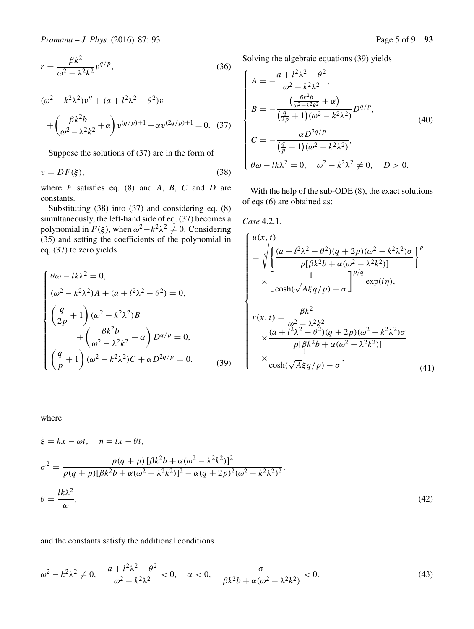$$
r = \frac{\beta k^2}{\omega^2 - \lambda^2 k^2} v^{q/p},\tag{36}
$$

$$
(\omega^2 - k^2 \lambda^2) v'' + (a + l^2 \lambda^2 - \theta^2) v
$$
  
+ 
$$
\left(\frac{\beta k^2 b}{\omega^2 - \lambda^2 k^2} + \alpha\right) v^{(q/p)+1} + \alpha v^{(2q/p)+1} = 0. \quad (37)
$$

Suppose the solutions of (37) are in the form of

$$
v = DF(\xi),\tag{38}
$$

where *F* satisfies eq. (8) and *A*, *B*, *C* and *D* are constants.

Substituting (38) into (37) and considering eq. (8) simultaneously, the left-hand side of eq. (37) becomes a polynomial in  $F(\xi)$ , when  $\omega^2 - k^2 \lambda^2 \neq 0$ . Considering (35) and setting the coefficients of the polynomial in eq. (37) to zero yields

$$
\begin{cases}\n\theta\omega - lk\lambda^2 = 0, \\
(\omega^2 - k^2\lambda^2)A + (a + l^2\lambda^2 - \theta^2) = 0, \\
\left(\frac{q}{2p} + 1\right)(\omega^2 - k^2\lambda^2)B \\
+ \left(\frac{\beta k^2 b}{\omega^2 - \lambda^2 k^2} + \alpha\right)D^{q/p} = 0, \\
\left(\frac{q}{p} + 1\right)(\omega^2 - k^2\lambda^2)C + \alpha D^{2q/p} = 0.\n\end{cases}
$$
\n(39)

Solving the algebraic equations (39) yields

$$
\begin{cases}\nA = -\frac{a + l^2 \lambda^2 - \theta^2}{\omega^2 - k^2 \lambda^2}, \\
B = -\frac{\left(\frac{\beta k^2 b}{\omega^2 - \lambda^2 k^2} + \alpha\right)}{\left(\frac{q}{2p} + 1\right) (\omega^2 - k^2 \lambda^2\right)} D^{q/p}, \\
C = -\frac{\alpha D^{2q/p}}{\left(\frac{q}{p} + 1\right) (\omega^2 - k^2 \lambda^2)}, \\
\theta \omega - lk \lambda^2 = 0, \quad \omega^2 - k^2 \lambda^2 \neq 0, \quad D > 0.\n\end{cases}
$$
\n(40)

With the help of the sub-ODE (8), the exact solutions of eqs (6) are obtained as:

*Case* 4.2.1*.*

$$
\begin{cases}\nu(x,t) \\
= \sqrt[4]{\frac{(a+l^2\lambda^2 - \theta^2)(q+2p)(\omega^2 - k^2\lambda^2)\sigma}{p[\beta k^2 b + \alpha(\omega^2 - \lambda^2 k^2)]}}\n\end{cases}
$$
\n
$$
\times \left[\frac{1}{\cosh(\sqrt{A}\xi q/p) - \sigma}\right]^{p/q} \exp(i\eta),
$$
\n
$$
r(x,t) = \frac{\beta k^2}{\omega^2 - \lambda^2 k^2}\n\times \frac{(a+l^2\lambda^2 - \theta^2)(q+2p)(\omega^2 - k^2\lambda^2)\sigma}{p[\beta k^2 b + \alpha(\omega^2 - \lambda^2 k^2)]}\n\times \frac{1}{\cosh(\sqrt{A}\xi q/p) - \sigma},\n\end{cases} (41)
$$

where

$$
\xi = kx - \omega t, \quad \eta = lx - \theta t,
$$
  
\n
$$
\sigma^2 = \frac{p(q+p)[\beta k^2 b + \alpha(\omega^2 - \lambda^2 k^2)]^2}{p(q+p)[\beta k^2 b + \alpha(\omega^2 - \lambda^2 k^2)]^2 - \alpha(q+2p)^2(\omega^2 - k^2 \lambda^2)^2},
$$
  
\n
$$
\theta = \frac{lk\lambda^2}{\omega},
$$
\n(42)

and the constants satisfy the additional conditions

$$
\omega^2 - k^2 \lambda^2 \neq 0, \quad \frac{a + l^2 \lambda^2 - \theta^2}{\omega^2 - k^2 \lambda^2} < 0, \quad \alpha < 0, \quad \frac{\sigma}{\beta k^2 b + \alpha (\omega^2 - \lambda^2 k^2)} < 0. \tag{43}
$$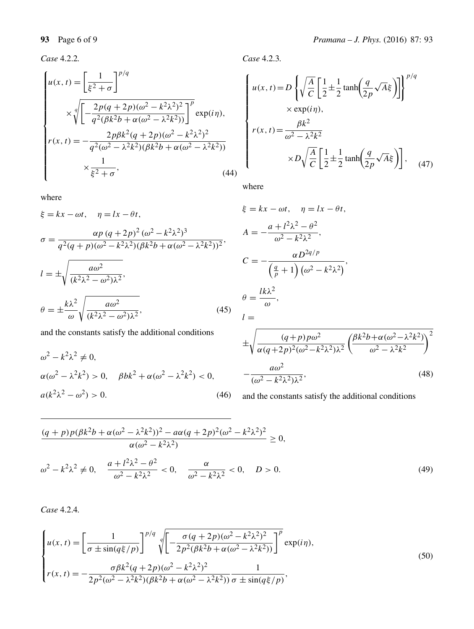*Case* 4.2.2*.*

$$
\begin{cases}\nu(x,t) = \left[\frac{1}{\xi^2 + \sigma}\right]^{p/q} \\
\times \sqrt[q]{\left[-\frac{2p(q + 2p)(\omega^2 - k^2\lambda^2)^2}{q^2(\beta k^2 b + \alpha(\omega^2 - \lambda^2 k^2))}\right]^p} \exp(i\eta), \\
r(x,t) = -\frac{2p\beta k^2(q + 2p)(\omega^2 - k^2\lambda^2)^2}{q^2(\omega^2 - \lambda^2 k^2)(\beta k^2 b + \alpha(\omega^2 - \lambda^2 k^2))} \\
\times \frac{1}{\xi^2 + \sigma},\n\end{cases} (44)
$$

where

$$
\xi = kx - \omega t, \quad \eta = lx - \theta t,
$$
  
\n
$$
\sigma = \frac{\alpha p (q + 2p)^2 (\omega^2 - k^2 \lambda^2)^3}{q^2 (q + p)(\omega^2 - k^2 \lambda^2)(\beta k^2 b + \alpha (\omega^2 - \lambda^2 k^2))^2},
$$
  
\n
$$
l = \pm \sqrt{\frac{a \omega^2}{(k^2 \lambda^2 - \omega^2)\lambda^2}},
$$
  
\n
$$
\theta = \pm \frac{k\lambda^2}{\omega} \sqrt{\frac{a \omega^2}{(k^2 \lambda^2 - \omega^2)\lambda^2}},
$$
\n(45)

and the constants satisfy the additional conditions

$$
\omega^{2} - k^{2} \lambda^{2} \neq 0,
$$
  
\n
$$
\alpha(\omega^{2} - \lambda^{2} k^{2}) > 0, \quad \beta b k^{2} + \alpha(\omega^{2} - \lambda^{2} k^{2}) < 0,
$$
  
\n
$$
a(k^{2} \lambda^{2} - \omega^{2}) > 0.
$$
\n(46)

*Case* 4.2.3*.*

$$
\begin{cases}\nu(x,t) = D\left\{\sqrt{\frac{A}{C}} \left[\frac{1}{2} \pm \frac{1}{2} \tanh\left(\frac{q}{2p}\sqrt{A}\xi\right)\right]\right\}^{p/q} \\
\times \exp(i\eta), \\
r(x,t) = \frac{\beta k^2}{\omega^2 - \lambda^2 k^2} \\
\times D\sqrt{\frac{A}{C}} \left[\frac{1}{2} \pm \frac{1}{2} \tanh\left(\frac{q}{2p}\sqrt{A}\xi\right)\right],\n\end{cases} (47)
$$

where

$$
\xi = kx - \omega t, \quad \eta = lx - \theta t,
$$
\n
$$
A = -\frac{a + l^2 \lambda^2 - \theta^2}{\omega^2 - k^2 \lambda^2},
$$
\n
$$
C = -\frac{\alpha D^{2q/p}}{\left(\frac{q}{p} + 1\right) (\omega^2 - k^2 \lambda^2)},
$$
\n
$$
\theta = \frac{lk\lambda^2}{\omega},
$$
\n
$$
l =
$$
\n
$$
\pm \sqrt{\frac{(q+p)\rho\omega^2}{\left(\frac{1}{p} + \frac{q}{2}\right)^2\left(\frac{2}{p} + \frac{q^2}{2}\right)^2}\left(\frac{\beta k^2 b + \alpha(\omega^2 - \lambda^2 k^2)}{2\omega^2\left(\frac{2}{p} + \frac{q}{2}\right)^2}\right)^2}
$$

$$
\pm \sqrt{\frac{(q+p)p\omega^2}{\alpha(q+2p)^2(\omega^2 - k^2\lambda^2)\lambda^2}} \left(\frac{\beta k^2 b + \alpha(\omega^2 - \lambda^2 k^2)}{\omega^2 - \lambda^2 k^2}\right) - \frac{a\omega^2}{(\omega^2 - k^2\lambda^2)\lambda^2},
$$
\n(48)

and the constants satisfy the additional conditions

$$
\frac{(q+p)p(\beta k^2 b + \alpha(\omega^2 - \lambda^2 k^2))^2 - a\alpha(q+2p)^2(\omega^2 - k^2 \lambda^2)^2}{\alpha(\omega^2 - k^2 \lambda^2)} \ge 0,
$$
  

$$
\omega^2 - k^2 \lambda^2 \ne 0, \quad \frac{a + l^2 \lambda^2 - \theta^2}{\omega^2 - k^2 \lambda^2} < 0, \quad \frac{\alpha}{\omega^2 - k^2 \lambda^2} < 0, \quad D > 0.
$$
 (49)

*Case* 4.2.4*.*

$$
\begin{cases}\nu(x,t) = \left[\frac{1}{\sigma \pm \sin(q\xi/p)}\right]^{p/q} \sqrt[q]{\left[-\frac{\sigma(q+2p)(\omega^2 - k^2\lambda^2)^2}{2p^2(\beta k^2 b + \alpha(\omega^2 - \lambda^2 k^2))}\right]^p} \exp(i\eta),\\r(x,t) = -\frac{\sigma\beta k^2(q+2p)(\omega^2 - k^2\lambda^2)^2}{2p^2(\omega^2 - \lambda^2 k^2)(\beta k^2 b + \alpha(\omega^2 - \lambda^2 k^2))} \frac{1}{\sigma \pm \sin(q\xi/p)},\end{cases} (50)
$$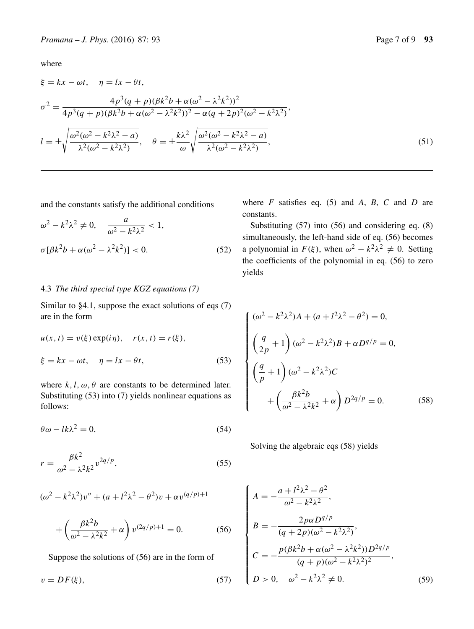where

$$
\xi = kx - \omega t, \quad \eta = lx - \theta t,
$$
  
\n
$$
\sigma^2 = \frac{4p^3(q+p)(\beta k^2 b + \alpha(\omega^2 - \lambda^2 k^2))^2}{4p^3(q+p)(\beta k^2 b + \alpha(\omega^2 - \lambda^2 k^2))^2 - \alpha(q+2p)^2(\omega^2 - k^2 \lambda^2)},
$$
  
\n
$$
l = \pm \sqrt{\frac{\omega^2(\omega^2 - k^2 \lambda^2 - a)}{\lambda^2(\omega^2 - k^2 \lambda^2)}}, \quad \theta = \pm \frac{k\lambda^2}{\omega} \sqrt{\frac{\omega^2(\omega^2 - k^2 \lambda^2 - a)}{\lambda^2(\omega^2 - k^2 \lambda^2)}},
$$
\n(51)

and the constants satisfy the additional conditions

$$
\omega^2 - k^2 \lambda^2 \neq 0, \quad \frac{a}{\omega^2 - k^2 \lambda^2} < 1,
$$
\n
$$
\sigma[\beta k^2 b + \alpha(\omega^2 - \lambda^2 k^2)] < 0. \tag{52}
$$

## 4.3 *The third special type KGZ equations (7)*

Similar to §4.1, suppose the exact solutions of eqs (7) are in the form

$$
u(x, t) = v(\xi) \exp(i\eta), \quad r(x, t) = r(\xi),
$$
  

$$
\xi = kx - \omega t, \quad \eta = lx - \theta t,
$$
 (53)

where  $k, l, \omega, \theta$  are constants to be determined later. Substituting (53) into (7) yields nonlinear equations as follows:

$$
\theta \omega - lk\lambda^2 = 0,\tag{54}
$$

$$
r = \frac{\beta k^2}{\omega^2 - \lambda^2 k^2} v^{2q/p},\tag{55}
$$

$$
(\omega^2 - k^2 \lambda^2) v'' + (a + l^2 \lambda^2 - \theta^2) v + \alpha v^{(q/p)+1}
$$

$$
+\left(\frac{\beta k^2 b}{\omega^2 - \lambda^2 k^2} + \alpha\right) v^{(2q/p)+1} = 0.
$$
 (56)

Suppose the solutions of (56) are in the form of

$$
v = DF(\xi),\tag{57}
$$

where *F* satisfies eq. (5) and *A*, *B*, *C* and *D* are constants.

Substituting (57) into (56) and considering eq. (8) simultaneously, the left-hand side of eq. (56) becomes a polynomial in  $F(\xi)$ , when  $\omega^2 - k^2 \lambda^2 \neq 0$ . Setting the coefficients of the polynomial in eq. (56) to zero yields

$$
\begin{cases}\n(\omega^2 - k^2 \lambda^2) A + (a + l^2 \lambda^2 - \theta^2) = 0, \\
\left(\frac{q}{2p} + 1\right) (\omega^2 - k^2 \lambda^2) B + \alpha D^{q/p} = 0, \\
\left(\frac{q}{p} + 1\right) (\omega^2 - k^2 \lambda^2) C \\
+ \left(\frac{\beta k^2 b}{\omega^2 - \lambda^2 k^2} + \alpha\right) D^{2q/p} = 0.\n\end{cases}
$$
\n(58)

Solving the algebraic eqs (58) yields

$$
\begin{cases}\nA = -\frac{a + l^2 \lambda^2 - \theta^2}{\omega^2 - k^2 \lambda^2}, \\
B = -\frac{2p\alpha D^{q/p}}{(q + 2p)(\omega^2 - k^2 \lambda^2)}, \\
C = -\frac{p(\beta k^2 b + \alpha(\omega^2 - \lambda^2 k^2)) D^{2q/p}}{(q + p)(\omega^2 - k^2 \lambda^2)^2}, \\
D > 0, \quad \omega^2 - k^2 \lambda^2 \neq 0.\n\end{cases}
$$
\n(59)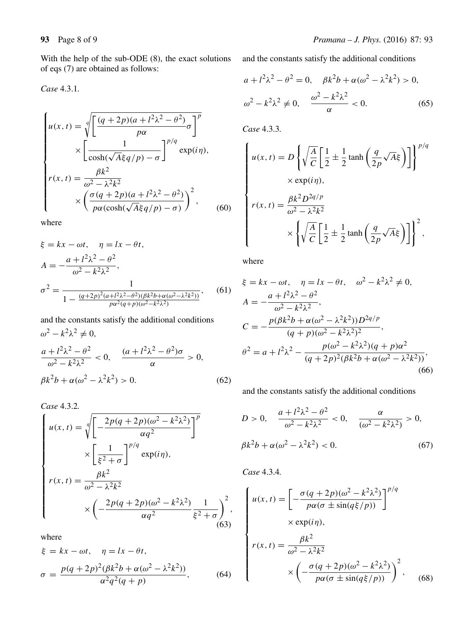With the help of the sub-ODE (8), the exact solutions of eqs (7) are obtained as follows:

*Case* 4.3.1*.*

$$
\begin{cases}\nu(x,t) = \sqrt[q]{\left[\frac{(q+2p)(a+l^2\lambda^2-\theta^2)}{p\alpha}\sigma\right]^p} \\
\times \left[\frac{1}{\cosh(\sqrt{A}\xi q/p) - \sigma}\right]^{p/q} \exp(i\eta), \\
r(x,t) = \frac{\beta k^2}{\omega^2 - \lambda^2 k^2} \\
\times \left(\frac{\sigma(q+2p)(a+l^2\lambda^2-\theta^2)}{p\alpha(\cosh(\sqrt{A}\xi q/p) - \sigma)}\right)^2,\n\end{cases} (60)\n\end{cases}
$$

where

$$
\xi = kx - \omega t, \quad \eta = lx - \theta t,
$$
  
\n
$$
A = -\frac{a + l^2 \lambda^2 - \theta^2}{\omega^2 - k^2 \lambda^2},
$$
  
\n
$$
\sigma^2 = \frac{1}{1 - \frac{(q+2p)^2(a + l^2 \lambda^2 - \theta^2)(\beta k^2 b + \alpha(\omega^2 - \lambda^2 k^2))}{p\alpha^2(q+p)(\omega^2 - k^2 \lambda^2)}},
$$
(61)

and the constants satisfy the additional conditions  $\omega^2 - k^2 \lambda^2 \neq 0$ ,  $\frac{a+l^2\lambda^2-\theta^2}{\omega^2-k^2\lambda^2}<0, \quad \frac{(a+l^2\lambda^2-\theta^2)\sigma}{\alpha}>0,$  $\beta k^2 b + \alpha (\omega^2 - \lambda^2 k^2) > 0.$  (62)

*Case* 4.3.2*.*

$$
\begin{cases}\nu(x,t) = \sqrt[q]{\left[-\frac{2p(q+2p)(\omega^2 - k^2\lambda^2)}{\alpha q^2}\right]^p} \\
\times \left[\frac{1}{\xi^2 + \sigma}\right]^{p/q} \exp(i\eta), \\
r(x,t) = \frac{\beta k^2}{\omega^2 - \lambda^2 k^2} \\
\times \left(-\frac{2p(q+2p)(\omega^2 - k^2\lambda^2)}{\alpha q^2}\frac{1}{\xi^2 + \sigma}\right)^2,\n\end{cases}
$$
\n(63)

where

$$
\xi = kx - \omega t, \quad \eta = lx - \theta t,
$$
  

$$
\sigma = \frac{p(q + 2p)^2(\beta k^2 b + \alpha(\omega^2 - \lambda^2 k^2))}{\alpha^2 q^2 (q + p)},
$$
(64)

and the constants satisfy the additional conditions

$$
a + l^2 \lambda^2 - \theta^2 = 0, \quad \beta k^2 b + \alpha (\omega^2 - \lambda^2 k^2) > 0,
$$
  

$$
\omega^2 - k^2 \lambda^2 \neq 0, \quad \frac{\omega^2 - k^2 \lambda^2}{\alpha} < 0.
$$
 (65)

*Case* 4.3.3*.*

$$
\begin{cases}\nu(x,t) = D\left\{\sqrt{\frac{A}{C}} \left[\frac{1}{2} \pm \frac{1}{2} \tanh\left(\frac{q}{2p}\sqrt{A}\xi\right)\right]\right\}^{p/q} \\
\times \exp(i\eta), \\
r(x,t) = \frac{\beta k^2 D^{2q/p}}{\omega^2 - \lambda^2 k^2} \\
\times \left\{\sqrt{\frac{A}{C}} \left[\frac{1}{2} \pm \frac{1}{2} \tanh\left(\frac{q}{2p}\sqrt{A}\xi\right)\right]\right\}^2,\n\end{cases}
$$

where

$$
\xi = kx - \omega t, \quad \eta = lx - \theta t, \quad \omega^2 - k^2 \lambda^2 \neq 0,
$$
  
\n
$$
A = -\frac{a + l^2 \lambda^2 - \theta^2}{\omega^2 - k^2 \lambda^2},
$$
  
\n
$$
C = -\frac{p(\beta k^2 b + \alpha(\omega^2 - \lambda^2 k^2))D^{2q/p}}{(q+p)(\omega^2 - k^2 \lambda^2)^2},
$$
  
\n
$$
\theta^2 = a + l^2 \lambda^2 - \frac{p(\omega^2 - k^2 \lambda^2)(q+p)\alpha^2}{(q+2p)^2(\beta k^2 b + \alpha(\omega^2 - \lambda^2 k^2))},
$$
  
\n(66)

and the constants satisfy the additional conditions

$$
D > 0, \quad \frac{a + l^2 \lambda^2 - \theta^2}{\omega^2 - k^2 \lambda^2} < 0, \quad \frac{\alpha}{(\omega^2 - k^2 \lambda^2)} > 0,
$$
  

$$
\beta k^2 b + \alpha(\omega^2 - \lambda^2 k^2) < 0.
$$
 (67)

*Case* 4.3.4*.*

$$
\begin{cases}\nu(x,t) = \left[ -\frac{\sigma(q+2p)(\omega^2 - k^2\lambda^2)}{p\alpha(\sigma \pm \sin(q\xi/p))} \right]^{p/q} \\
\times \exp(i\eta), \\
r(x,t) = \frac{\beta k^2}{\omega^2 - \lambda^2 k^2} \\
\times \left( -\frac{\sigma(q+2p)(\omega^2 - k^2\lambda^2)}{p\alpha(\sigma \pm \sin(q\xi/p))} \right)^2, \quad (68)\n\end{cases}
$$